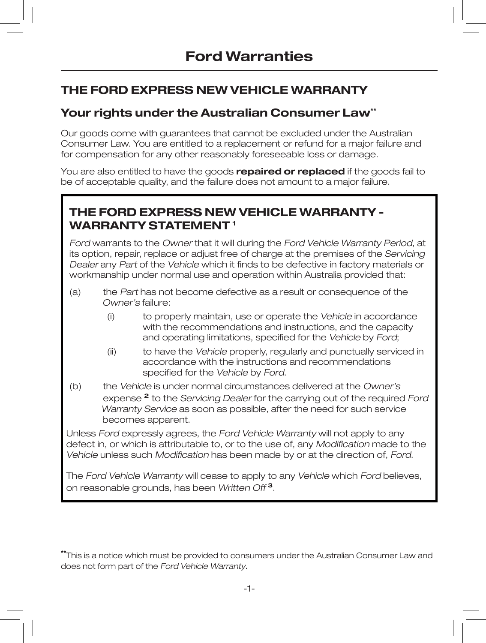# **THE FORD EXPRESS NEW VEHICLE WARRANTY**

## **Your rights under the Australian Consumer Law\*\***

Our goods come with guarantees that cannot be excluded under the Australian Consumer Law. You are entitled to a replacement or refund for a major failure and for compensation for any other reasonably foreseeable loss or damage.

You are also entitled to have the goods **repaired or replaced** if the goods fail to be of acceptable quality, and the failure does not amount to a major failure.

## **THE FORD EXPRESS NEW VEHICLE WARRANTY -WARRANTY STATEMENT 1**

Ford warrants to the Owner that it will during the Ford Vehicle Warranty Period, at its option, repair, replace or adjust free of charge at the premises of the Servicing Dealer any Part of the Vehicle which it finds to be defective in factory materials or workmanship under normal use and operation within Australia provided that:

- (a) the Part has not become defective as a result or consequence of the Owner's failure:
	- (i) to properly maintain, use or operate the Vehicle in accordance with the recommendations and instructions, and the capacity and operating limitations, specified for the Vehicle by Ford;
	- (ii) to have the Vehicle properly, regularly and punctually serviced in accordance with the instructions and recommendations specified for the Vehicle by Ford.
- (b) the Vehicle is under normal circumstances delivered at the Owner's expense **<sup>2</sup>** to the Servicing Dealer for the carrying out of the required Ford Warranty Service as soon as possible, after the need for such service becomes apparent.

Unless Ford expressly agrees, the Ford Vehicle Warranty will not apply to any defect in, or which is attributable to, or to the use of, any Modification made to the Vehicle unless such Modification has been made by or at the direction of, Ford.

The Ford Vehicle Warranty will cease to apply to any Vehicle which Ford believes, on reasonable grounds, has been Written Off **<sup>3</sup>**.

**\*\***This is a notice which must be provided to consumers under the Australian Consumer Law and does not form part of the Ford Vehicle Warranty.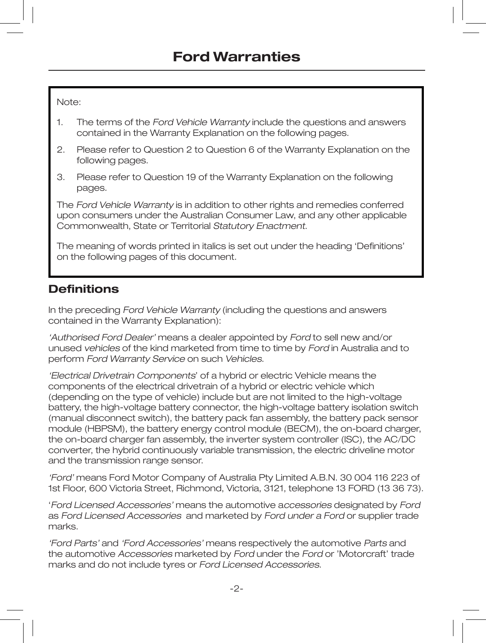Note:

- 1. The terms of the Ford Vehicle Warranty include the questions and answers contained in the Warranty Explanation on the following pages.
- 2. Please refer to Question 2 to Question 6 of the Warranty Explanation on the following pages.
- 3. Please refer to Question 19 of the Warranty Explanation on the following pages.

The Ford Vehicle Warranty is in addition to other rights and remedies conferred upon consumers under the Australian Consumer Law, and any other applicable Commonwealth, State or Territorial Statutory Enactment.

The meaning of words printed in italics is set out under the heading 'Definitions' on the following pages of this document.

## **Definitions**

In the preceding Ford Vehicle Warranty (including the questions and answers contained in the Warranty Explanation):

'Authorised Ford Dealer' means a dealer appointed by Ford to sell new and/or unused vehicles of the kind marketed from time to time by Ford in Australia and to perform Ford Warranty Service on such Vehicles.

'Electrical Drivetrain Components' of a hybrid or electric Vehicle means the components of the electrical drivetrain of a hybrid or electric vehicle which (depending on the type of vehicle) include but are not limited to the high-voltage battery, the high-voltage battery connector, the high-voltage battery isolation switch (manual disconnect switch), the battery pack fan assembly, the battery pack sensor module (HBPSM), the battery energy control module (BECM), the on-board charger, the on-board charger fan assembly, the inverter system controller (ISC), the AC/DC converter, the hybrid continuously variable transmission, the electric driveline motor and the transmission range sensor.

'Ford' means Ford Motor Company of Australia Pty Limited A.B.N. 30 004 116 223 of 1st Floor, 600 Victoria Street, Richmond, Victoria, 3121, telephone 13 FORD (13 36 73).

'Ford Licensed Accessories' means the automotive accessories designated by Ford as Ford Licensed Accessories and marketed by Ford under a Ford or supplier trade marks.

'Ford Parts' and 'Ford Accessories' means respectively the automotive Parts and the automotive Accessories marketed by Ford under the Ford or 'Motorcraft' trade marks and do not include tyres or Ford Licensed Accessories.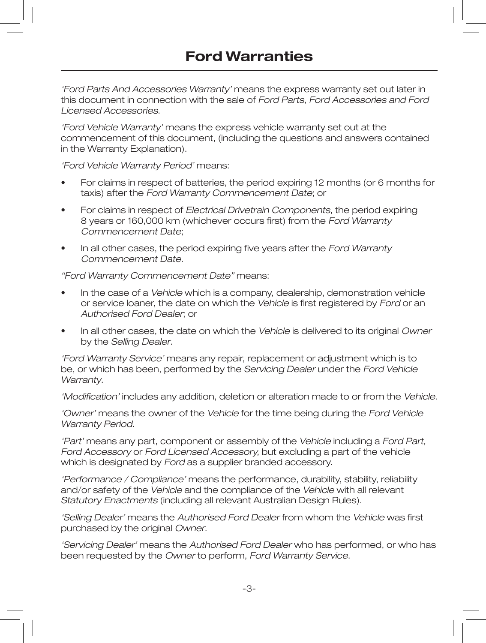'Ford Parts And Accessories Warranty' means the express warranty set out later in this document in connection with the sale of Ford Parts, Ford Accessories and Ford Licensed Accessories.

'Ford Vehicle Warranty' means the express vehicle warranty set out at the commencement of this document, (including the questions and answers contained in the Warranty Explanation).

'Ford Vehicle Warranty Period' means:

- For claims in respect of batteries, the period expiring 12 months (or 6 months for taxis) after the Ford Warranty Commencement Date; or
- For claims in respect of Electrical Drivetrain Components, the period expiring 8 years or 160,000 km (whichever occurs first) from the Ford Warranty Commencement Date;
- In all other cases, the period expiring five years after the Ford Warranty Commencement Date.

"Ford Warranty Commencement Date" means:

- In the case of a Vehicle which is a company, dealership, demonstration vehicle or service loaner, the date on which the Vehicle is first registered by Ford or an Authorised Ford Dealer; or
- In all other cases, the date on which the Vehicle is delivered to its original Owner by the Selling Dealer.

'Ford Warranty Service' means any repair, replacement or adjustment which is to be, or which has been, performed by the Servicing Dealer under the Ford Vehicle Warranty.

'Modification' includes any addition, deletion or alteration made to or from the Vehicle.

'Owner' means the owner of the Vehicle for the time being during the Ford Vehicle Warranty Period.

'Part' means any part, component or assembly of the Vehicle including a Ford Part, Ford Accessory or Ford Licensed Accessory, but excluding a part of the vehicle which is designated by Ford as a supplier branded accessory.

'Performance / Compliance' means the performance, durability, stability, reliability and/or safety of the Vehicle and the compliance of the Vehicle with all relevant Statutory Enactments (including all relevant Australian Design Rules).

'Selling Dealer' means the Authorised Ford Dealer from whom the Vehicle was first purchased by the original Owner.

'Servicing Dealer' means the Authorised Ford Dealer who has performed, or who has been requested by the Owner to perform, Ford Warranty Service.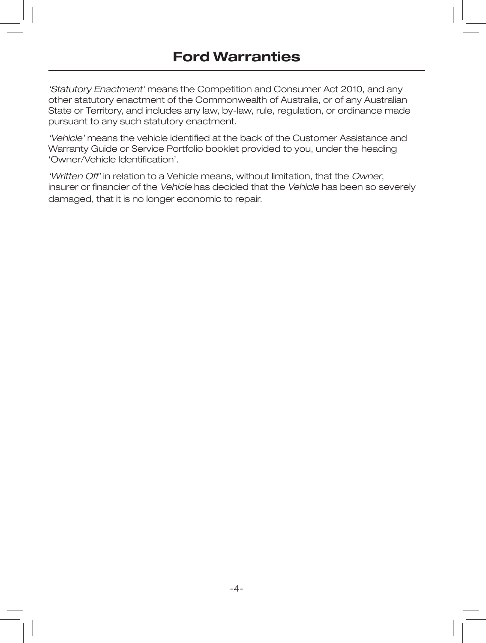'Statutory Enactment' means the Competition and Consumer Act 2010, and any other statutory enactment of the Commonwealth of Australia, or of any Australian State or Territory, and includes any law, by-law, rule, regulation, or ordinance made pursuant to any such statutory enactment.

'Vehicle' means the vehicle identified at the back of the Customer Assistance and Warranty Guide or Service Portfolio booklet provided to you, under the heading 'Owner/Vehicle Identification'.

'Written Off' in relation to a Vehicle means, without limitation, that the Owner, insurer or financier of the Vehicle has decided that the Vehicle has been so severely damaged, that it is no longer economic to repair.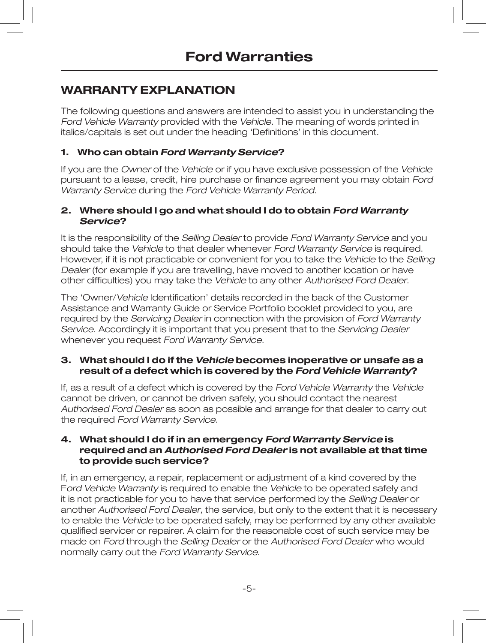# **WARRANTY EXPLANATION**

The following questions and answers are intended to assist you in understanding the Ford Vehicle Warranty provided with the Vehicle. The meaning of words printed in italics/capitals is set out under the heading 'Definitions' in this document.

## **1. Who can obtain Ford Warranty Service?**

If you are the Owner of the Vehicle or if you have exclusive possession of the Vehicle pursuant to a lease, credit, hire purchase or finance agreement you may obtain Ford Warranty Service during the Ford Vehicle Warranty Period.

#### **2. Where should I go and what should I do to obtain Ford Warranty Service?**

It is the responsibility of the Selling Dealer to provide Ford Warranty Service and you should take the Vehicle to that dealer whenever Ford Warranty Service is required. However, if it is not practicable or convenient for you to take the Vehicle to the Selling Dealer (for example if you are travelling, have moved to another location or have other difficulties) you may take the Vehicle to any other Authorised Ford Dealer.

The 'Owner/Vehicle Identification' details recorded in the back of the Customer Assistance and Warranty Guide or Service Portfolio booklet provided to you, are required by the Servicing Dealer in connection with the provision of Ford Warranty Service. Accordingly it is important that you present that to the Servicing Dealer whenever you request Ford Warranty Service.

#### **3. What should I do if the Vehicle becomes inoperative or unsafe as a result of a defect which is covered by the Ford Vehicle Warranty?**

If, as a result of a defect which is covered by the Ford Vehicle Warranty the Vehicle cannot be driven, or cannot be driven safely, you should contact the nearest Authorised Ford Dealer as soon as possible and arrange for that dealer to carry out the required Ford Warranty Service.

#### **4. What should I do if in an emergency Ford Warranty Service is required and an Authorised Ford Dealer is not available at that time to provide such service?**

If, in an emergency, a repair, replacement or adjustment of a kind covered by the Ford Vehicle Warranty is required to enable the Vehicle to be operated safely and it is not practicable for you to have that service performed by the Selling Dealer or another Authorised Ford Dealer, the service, but only to the extent that it is necessary to enable the Vehicle to be operated safely, may be performed by any other available qualified servicer or repairer. A claim for the reasonable cost of such service may be made on Ford through the Selling Dealer or the Authorised Ford Dealer who would normally carry out the Ford Warranty Service.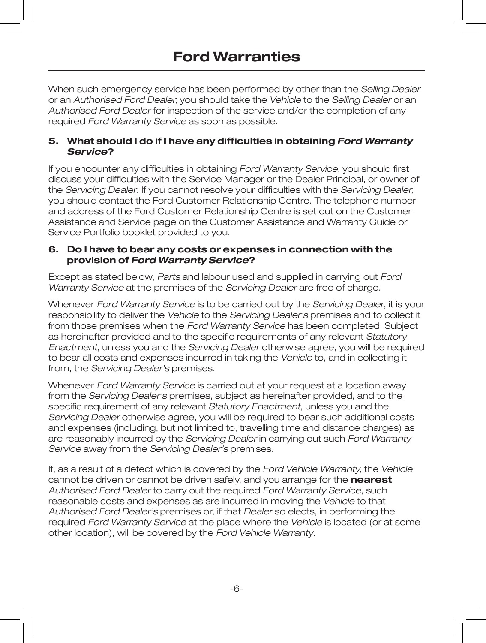When such emergency service has been performed by other than the Selling Dealer or an Authorised Ford Dealer, you should take the Vehicle to the Selling Dealer or an Authorised Ford Dealer for inspection of the service and/or the completion of any required Ford Warranty Service as soon as possible.

### **5. What should I do if I have any difficulties in obtaining Ford Warranty Service?**

If you encounter any difficulties in obtaining Ford Warranty Service, you should first discuss your difficulties with the Service Manager or the Dealer Principal, or owner of the Servicing Dealer. If you cannot resolve your difficulties with the Servicing Dealer. you should contact the Ford Customer Relationship Centre. The telephone number and address of the Ford Customer Relationship Centre is set out on the Customer Assistance and Service page on the Customer Assistance and Warranty Guide or Service Portfolio booklet provided to you.

#### **6. Do I have to bear any costs or expenses in connection with the provision of Ford Warranty Service?**

Except as stated below, Parts and labour used and supplied in carrying out Ford Warranty Service at the premises of the Servicing Dealer are free of charge.

Whenever Ford Warranty Service is to be carried out by the Servicing Dealer, it is your responsibility to deliver the Vehicle to the Servicing Dealer's premises and to collect it from those premises when the Ford Warranty Service has been completed. Subject as hereinafter provided and to the specific requirements of any relevant Statutory Enactment, unless you and the Servicing Dealer otherwise agree, you will be required to bear all costs and expenses incurred in taking the Vehicle to, and in collecting it from, the Servicing Dealer's premises.

Whenever Ford Warranty Service is carried out at your request at a location away from the Servicing Dealer's premises, subject as hereinafter provided, and to the specific requirement of any relevant Statutory Enactment, unless you and the Servicing Dealer otherwise agree, you will be required to bear such additional costs and expenses (including, but not limited to, travelling time and distance charges) as are reasonably incurred by the Servicing Dealer in carrying out such Ford Warranty Service away from the Servicing Dealer's premises.

If, as a result of a defect which is covered by the Ford Vehicle Warranty, the Vehicle cannot be driven or cannot be driven safely, and you arrange for the **nearest** Authorised Ford Dealer to carry out the required Ford Warranty Service, such reasonable costs and expenses as are incurred in moving the Vehicle to that Authorised Ford Dealer's premises or, if that Dealer so elects, in performing the required Ford Warranty Service at the place where the Vehicle is located (or at some other location), will be covered by the Ford Vehicle Warranty.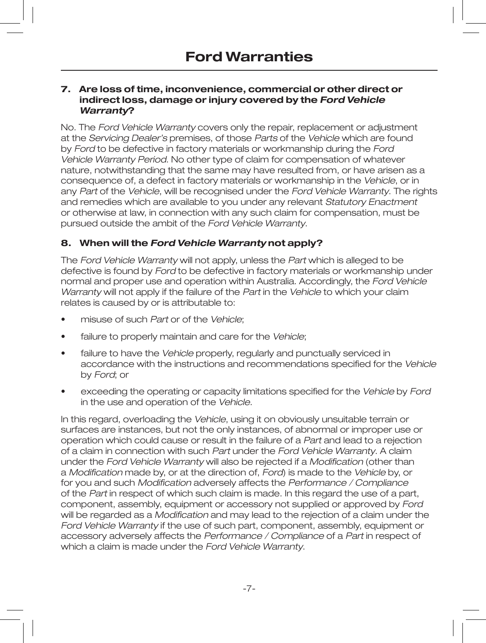#### **7. Are loss of time, inconvenience, commercial or other direct or indirect loss, damage or injury covered by the Ford Vehicle Warranty?**

No. The Ford Vehicle Warranty covers only the repair, replacement or adjustment at the Servicing Dealer's premises, of those Parts of the Vehicle which are found by Ford to be defective in factory materials or workmanship during the Ford Vehicle Warranty Period. No other type of claim for compensation of whatever nature, notwithstanding that the same may have resulted from, or have arisen as a consequence of, a defect in factory materials or workmanship in the Vehicle, or in any Part of the Vehicle, will be recognised under the Ford Vehicle Warranty. The rights and remedies which are available to you under any relevant Statutory Enactment or otherwise at law, in connection with any such claim for compensation, must be pursued outside the ambit of the Ford Vehicle Warranty.

### **8. When will the Ford Vehicle Warranty not apply?**

The Ford Vehicle Warranty will not apply, unless the Part which is alleged to be defective is found by Ford to be defective in factory materials or workmanship under normal and proper use and operation within Australia. Accordingly, the Ford Vehicle Warranty will not apply if the failure of the Part in the Vehicle to which your claim relates is caused by or is attributable to:

- misuse of such Part or of the Vehicle:
- failure to properly maintain and care for the Vehicle;
- failure to have the Vehicle properly, regularly and punctually serviced in accordance with the instructions and recommendations specified for the Vehicle by Ford; or
- exceeding the operating or capacity limitations specified for the Vehicle by Ford in the use and operation of the Vehicle.

In this regard, overloading the Vehicle, using it on obviously unsuitable terrain or surfaces are instances, but not the only instances, of abnormal or improper use or operation which could cause or result in the failure of a Part and lead to a rejection of a claim in connection with such Part under the Ford Vehicle Warranty. A claim under the Ford Vehicle Warranty will also be rejected if a Modification (other than a Modification made by, or at the direction of, Ford) is made to the Vehicle by, or for you and such Modification adversely affects the Performance / Compliance of the Part in respect of which such claim is made. In this regard the use of a part, component, assembly, equipment or accessory not supplied or approved by Ford will be regarded as a Modification and may lead to the rejection of a claim under the Ford Vehicle Warranty if the use of such part, component, assembly, equipment or accessory adversely affects the Performance / Compliance of a Part in respect of which a claim is made under the Ford Vehicle Warranty.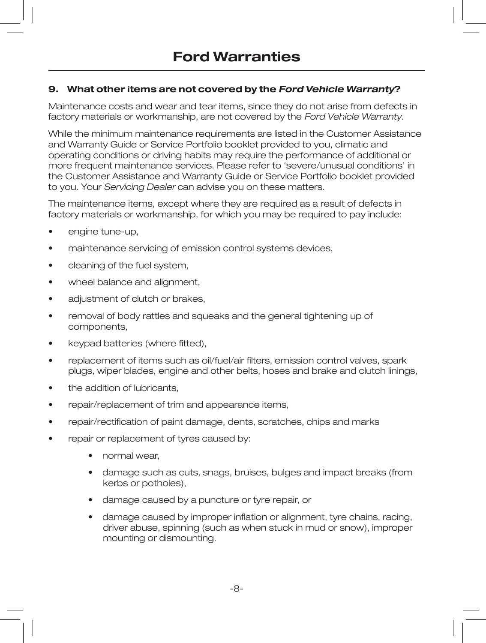## **9. What other items are not covered by the Ford Vehicle Warranty?**

Maintenance costs and wear and tear items, since they do not arise from defects in factory materials or workmanship, are not covered by the Ford Vehicle Warranty.

While the minimum maintenance requirements are listed in the Customer Assistance and Warranty Guide or Service Portfolio booklet provided to you, climatic and operating conditions or driving habits may require the performance of additional or more frequent maintenance services. Please refer to 'severe/unusual conditions' in the Customer Assistance and Warranty Guide or Service Portfolio booklet provided to you. Your Servicing Dealer can advise you on these matters.

The maintenance items, except where they are required as a result of defects in factory materials or workmanship, for which you may be required to pay include:

- engine tune-up,
- maintenance servicing of emission control systems devices,
- cleaning of the fuel system.
- wheel balance and alignment.
- adjustment of clutch or brakes,
- removal of body rattles and squeaks and the general tightening up of components,
- keypad batteries (where fitted),
- replacement of items such as oil/fuel/air filters, emission control valves, spark plugs, wiper blades, engine and other belts, hoses and brake and clutch linings,
- the addition of lubricants.
- repair/replacement of trim and appearance items,
- repair/rectification of paint damage, dents, scratches, chips and marks
- repair or replacement of tyres caused by:
	- normal wear,
	- damage such as cuts, snags, bruises, bulges and impact breaks (from kerbs or potholes),
	- damage caused by a puncture or tyre repair, or
	- damage caused by improper inflation or alignment, tyre chains, racing, driver abuse, spinning (such as when stuck in mud or snow), improper mounting or dismounting.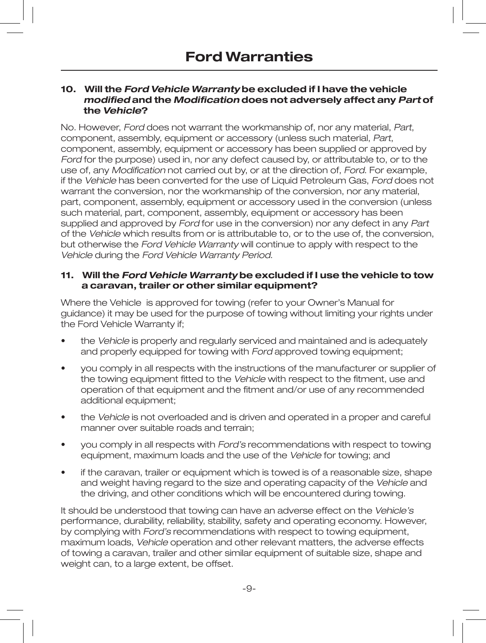#### **10. Will the Ford Vehicle Warranty be excluded if I have the vehicle modified and the Modification does not adversely affect any Part of the Vehicle?**

No. However, Ford does not warrant the workmanship of, nor any material, Part, component, assembly, equipment or accessory (unless such material, Part, component, assembly, equipment or accessory has been supplied or approved by Ford for the purpose) used in, nor any defect caused by, or attributable to, or to the use of, any Modification not carried out by, or at the direction of, Ford. For example, if the Vehicle has been converted for the use of Liquid Petroleum Gas, Ford does not warrant the conversion, nor the workmanship of the conversion, nor any material, part, component, assembly, equipment or accessory used in the conversion (unless such material, part, component, assembly, equipment or accessory has been supplied and approved by Ford for use in the conversion) nor any defect in any Part of the Vehicle which results from or is attributable to, or to the use of, the conversion, but otherwise the Ford Vehicle Warranty will continue to apply with respect to the Vehicle during the Ford Vehicle Warranty Period.

#### **11. Will the Ford Vehicle Warranty be excluded if I use the vehicle to tow a caravan, trailer or other similar equipment?**

Where the Vehicle is approved for towing (refer to your Owner's Manual for guidance) it may be used for the purpose of towing without limiting your rights under the Ford Vehicle Warranty if;

- the Vehicle is properly and regularly serviced and maintained and is adequately and properly equipped for towing with Ford approved towing equipment;
- you comply in all respects with the instructions of the manufacturer or supplier of the towing equipment fitted to the Vehicle with respect to the fitment, use and operation of that equipment and the fitment and/or use of any recommended additional equipment;
- the Vehicle is not overloaded and is driven and operated in a proper and careful manner over suitable roads and terrain;
- you comply in all respects with Ford's recommendations with respect to towing equipment, maximum loads and the use of the Vehicle for towing; and
- if the caravan, trailer or equipment which is towed is of a reasonable size, shape and weight having regard to the size and operating capacity of the Vehicle and the driving, and other conditions which will be encountered during towing.

It should be understood that towing can have an adverse effect on the Vehicle's performance, durability, reliability, stability, safety and operating economy. However, by complying with Ford's recommendations with respect to towing equipment, maximum loads, Vehicle operation and other relevant matters, the adverse effects of towing a caravan, trailer and other similar equipment of suitable size, shape and weight can, to a large extent, be offset.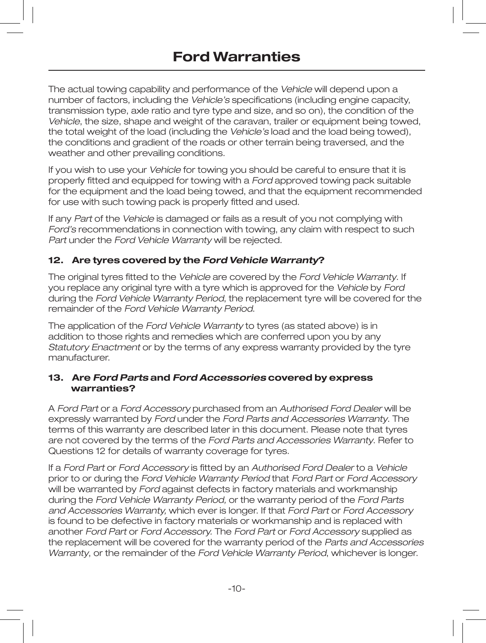The actual towing capability and performance of the Vehicle will depend upon a number of factors, including the Vehicle's specifications (including engine capacity, transmission type, axle ratio and tyre type and size, and so on), the condition of the Vehicle, the size, shape and weight of the caravan, trailer or equipment being towed, the total weight of the load (including the Vehicle's load and the load being towed), the conditions and gradient of the roads or other terrain being traversed, and the weather and other prevailing conditions.

If you wish to use your Vehicle for towing you should be careful to ensure that it is properly fitted and equipped for towing with a Ford approved towing pack suitable for the equipment and the load being towed, and that the equipment recommended for use with such towing pack is properly fitted and used.

If any Part of the Vehicle is damaged or fails as a result of you not complying with Ford's recommendations in connection with towing, any claim with respect to such Part under the Ford Vehicle Warranty will be rejected.

### **12. Are tyres covered by the Ford Vehicle Warranty?**

The original tyres fitted to the Vehicle are covered by the Ford Vehicle Warranty. If you replace any original tyre with a tyre which is approved for the Vehicle by Ford during the Ford Vehicle Warranty Period, the replacement tyre will be covered for the remainder of the Ford Vehicle Warranty Period.

The application of the Ford Vehicle Warranty to tyres (as stated above) is in addition to those rights and remedies which are conferred upon you by any Statutory Enactment or by the terms of any express warranty provided by the tyre manufacturer.

#### **13. Are Ford Parts and Ford Accessories covered by express warranties?**

A Ford Part or a Ford Accessory purchased from an Authorised Ford Dealer will be expressly warranted by Ford under the Ford Parts and Accessories Warranty. The terms of this warranty are described later in this document. Please note that tyres are not covered by the terms of the Ford Parts and Accessories Warranty. Refer to Questions 12 for details of warranty coverage for tyres.

If a Ford Part or Ford Accessory is fitted by an Authorised Ford Dealer to a Vehicle prior to or during the Ford Vehicle Warranty Period that Ford Part or Ford Accessory will be warranted by Ford against defects in factory materials and workmanship during the Ford Vehicle Warranty Period, or the warranty period of the Ford Parts and Accessories Warranty, which ever is longer. If that Ford Part or Ford Accessory is found to be defective in factory materials or workmanship and is replaced with another Ford Part or Ford Accessory. The Ford Part or Ford Accessory supplied as the replacement will be covered for the warranty period of the Parts and Accessories Warranty, or the remainder of the Ford Vehicle Warranty Period, whichever is longer.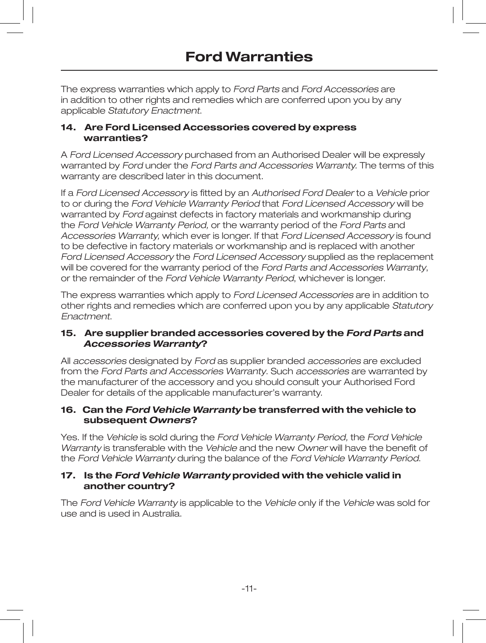The express warranties which apply to Ford Parts and Ford Accessories are in addition to other rights and remedies which are conferred upon you by any applicable Statutory Enactment.

#### **14. Are Ford Licensed Accessories covered by express warranties?**

A Ford Licensed Accessory purchased from an Authorised Dealer will be expressly warranted by Ford under the Ford Parts and Accessories Warranty. The terms of this warranty are described later in this document.

If a Ford Licensed Accessory is fitted by an Authorised Ford Dealer to a Vehicle prior to or during the Ford Vehicle Warranty Period that Ford Licensed Accessory will be warranted by Ford against defects in factory materials and workmanship during the Ford Vehicle Warranty Period, or the warranty period of the Ford Parts and Accessories Warranty, which ever is longer. If that Ford Licensed Accessory is found to be defective in factory materials or workmanship and is replaced with another Ford Licensed Accessory the Ford Licensed Accessory supplied as the replacement will be covered for the warranty period of the Ford Parts and Accessories Warranty, or the remainder of the Ford Vehicle Warranty Period, whichever is longer.

The express warranties which apply to Ford Licensed Accessories are in addition to other rights and remedies which are conferred upon you by any applicable Statutory Enactment.

#### **15. Are supplier branded accessories covered by the Ford Parts and Accessories Warranty?**

All accessories designated by Ford as supplier branded accessories are excluded from the Ford Parts and Accessories Warranty. Such accessories are warranted by the manufacturer of the accessory and you should consult your Authorised Ford Dealer for details of the applicable manufacturer's warranty.

#### **16. Can the Ford Vehicle Warranty be transferred with the vehicle to subsequent Owners?**

Yes. If the Vehicle is sold during the Ford Vehicle Warranty Period, the Ford Vehicle Warranty is transferable with the Vehicle and the new Owner will have the benefit of the Ford Vehicle Warranty during the balance of the Ford Vehicle Warranty Period.

### **17. Is the Ford Vehicle Warranty provided with the vehicle valid in another country?**

The Ford Vehicle Warranty is applicable to the Vehicle only if the Vehicle was sold for use and is used in Australia.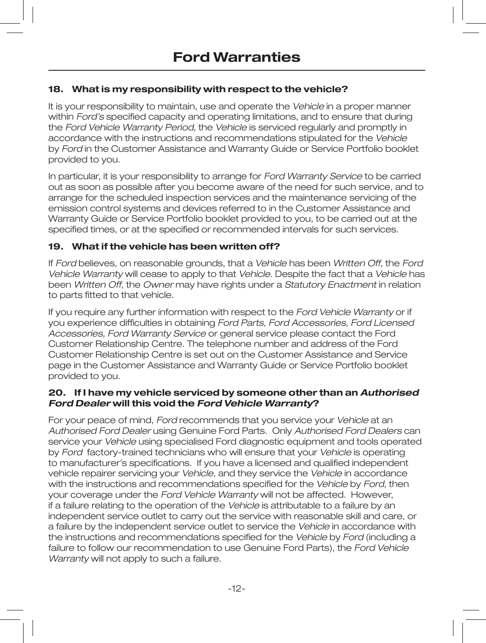## **18. What is my responsibility with respect to the vehicle?**

It is your responsibility to maintain, use and operate the Vehicle in a proper manner within *Ford's* specified capacity and operating limitations, and to ensure that during the Ford Vehicle Warranty Period, the Vehicle is serviced regularly and promptly in accordance with the instructions and recommendations stipulated for the Vehicle by Ford in the Customer Assistance and Warranty Guide or Service Portfolio booklet provided to you.

In particular, it is your responsibility to arrange for Ford Warranty Service to be carried out as soon as possible after you become aware of the need for such service, and to arrange for the scheduled inspection services and the maintenance servicing of the emission control systems and devices referred to in the Customer Assistance and Warranty Guide or Service Portfolio booklet provided to you, to be carried out at the specified times, or at the specified or recommended intervals for such services.

### **19. What if the vehicle has been written off?**

If Ford believes, on reasonable grounds, that a Vehicle has been Written Off, the Ford Vehicle Warranty will cease to apply to that Vehicle. Despite the fact that a Vehicle has been Written Off, the Owner may have rights under a Statutory Enactment in relation to parts fitted to that vehicle.

If you require any further information with respect to the Ford Vehicle Warranty or if you experience difficulties in obtaining Ford Parts, Ford Accessories, Ford Licensed Accessories, Ford Warranty Service or general service please contact the Ford Customer Relationship Centre. The telephone number and address of the Ford Customer Relationship Centre is set out on the Customer Assistance and Service page in the Customer Assistance and Warranty Guide or Service Portfolio booklet provided to you.

#### **20. If I have my vehicle serviced by someone other than an Authorised Ford Dealer will this void the Ford Vehicle Warranty?**

For your peace of mind, Ford recommends that you service your Vehicle at an Authorised Ford Dealer using Genuine Ford Parts. Only Authorised Ford Dealers can service your Vehicle using specialised Ford diagnostic equipment and tools operated by Ford factory-trained technicians who will ensure that your Vehicle is operating to manufacturer's specifications. If you have a licensed and qualified independent vehicle repairer servicing your Vehicle, and they service the Vehicle in accordance with the instructions and recommendations specified for the Vehicle by Ford, then your coverage under the Ford Vehicle Warranty will not be affected. However, if a failure relating to the operation of the Vehicle is attributable to a failure by an independent service outlet to carry out the service with reasonable skill and care, or a failure by the independent service outlet to service the Vehicle in accordance with the instructions and recommendations specified for the Vehicle by Ford (including a failure to follow our recommendation to use Genuine Ford Parts), the Ford Vehicle Warranty will not apply to such a failure.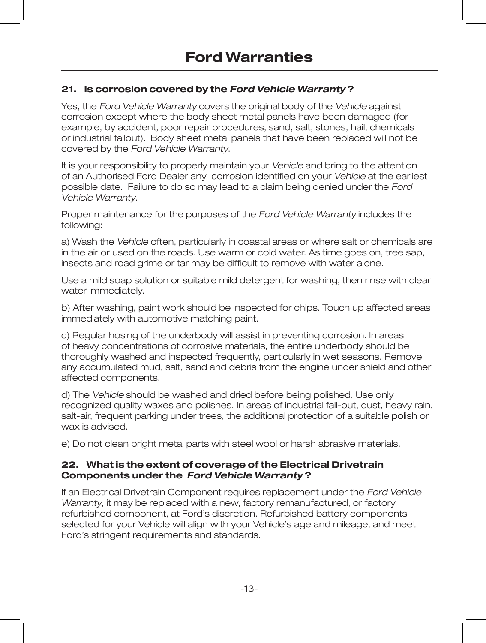### **21. Is corrosion covered by the Ford Vehicle Warranty ?**

Yes, the Ford Vehicle Warranty covers the original body of the Vehicle against corrosion except where the body sheet metal panels have been damaged (for example, by accident, poor repair procedures, sand, salt, stones, hail, chemicals or industrial fallout). Body sheet metal panels that have been replaced will not be covered by the Ford Vehicle Warranty.

It is your responsibility to properly maintain your Vehicle and bring to the attention of an Authorised Ford Dealer any corrosion identified on your Vehicle at the earliest possible date. Failure to do so may lead to a claim being denied under the Ford Vehicle Warranty.

Proper maintenance for the purposes of the Ford Vehicle Warranty includes the following:

a) Wash the Vehicle often, particularly in coastal areas or where salt or chemicals are in the air or used on the roads. Use warm or cold water. As time goes on, tree sap, insects and road grime or tar may be difficult to remove with water alone.

Use a mild soap solution or suitable mild detergent for washing, then rinse with clear water immediately.

b) After washing, paint work should be inspected for chips. Touch up affected areas immediately with automotive matching paint.

c) Regular hosing of the underbody will assist in preventing corrosion. In areas of heavy concentrations of corrosive materials, the entire underbody should be thoroughly washed and inspected frequently, particularly in wet seasons. Remove any accumulated mud, salt, sand and debris from the engine under shield and other affected components.

d) The Vehicle should be washed and dried before being polished. Use only recognized quality waxes and polishes. In areas of industrial fall-out, dust, heavy rain, salt-air, frequent parking under trees, the additional protection of a suitable polish or wax is advised.

e) Do not clean bright metal parts with steel wool or harsh abrasive materials.

#### **22. What is the extent of coverage of the Electrical Drivetrain Components under the Ford Vehicle Warranty ?**

If an Electrical Drivetrain Component requires replacement under the Ford Vehicle Warranty, it may be replaced with a new, factory remanufactured, or factory refurbished component, at Ford's discretion. Refurbished battery components selected for your Vehicle will align with your Vehicle's age and mileage, and meet Ford's stringent requirements and standards.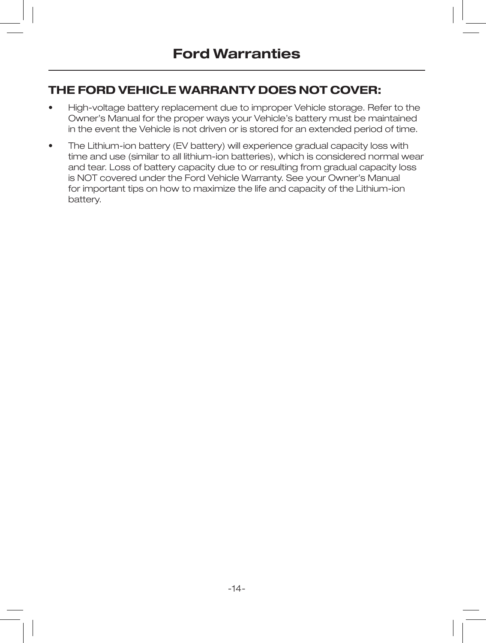# **THE FORD VEHICLE WARRANTY DOES NOT COVER:**

- High-voltage battery replacement due to improper Vehicle storage. Refer to the Owner's Manual for the proper ways your Vehicle's battery must be maintained in the event the Vehicle is not driven or is stored for an extended period of time.
- The Lithium-ion battery (EV battery) will experience gradual capacity loss with time and use (similar to all lithium-ion batteries), which is considered normal wear and tear. Loss of battery capacity due to or resulting from gradual capacity loss is NOT covered under the Ford Vehicle Warranty. See your Owner's Manual for important tips on how to maximize the life and capacity of the Lithium-ion battery.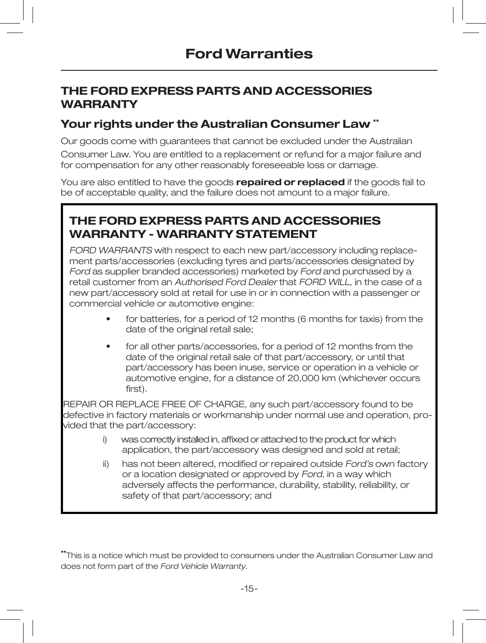# **THE FORD EXPRESS PARTS AND ACCESSORIES WARRANTY**

## **Your rights under the Australian Consumer Law \*\***

Our goods come with guarantees that cannot be excluded under the Australian Consumer Law. You are entitled to a replacement or refund for a major failure and for compensation for any other reasonably foreseeable loss or damage.

You are also entitled to have the goods **repaired or replaced** if the goods fail to be of acceptable quality, and the failure does not amount to a major failure.

# **THE FORD EXPRESS PARTS AND ACCESSORIES WARRANTY - WARRANTY STATEMENT**

FORD WARRANTS with respect to each new part/accessory including replacement parts/accessories (excluding tyres and parts/accessories designated by Ford as supplier branded accessories) marketed by Ford and purchased by a retail customer from an Authorised Ford Dealer that FORD WILL, in the case of a new part/accessory sold at retail for use in or in connection with a passenger or commercial vehicle or automotive engine:

- for batteries, for a period of 12 months (6 months for taxis) from the date of the original retail sale;
- for all other parts/accessories, for a period of 12 months from the date of the original retail sale of that part/accessory, or until that part/accessory has been inuse, service or operation in a vehicle or automotive engine, for a distance of 20,000 km (whichever occurs first).

REPAIR OR REPLACE FREE OF CHARGE, any such part/accessory found to be defective in factory materials or workmanship under normal use and operation, provided that the part/accessory:

- i) was correctly installed in, affixed or attached to the product for which application, the part/accessory was designed and sold at retail;
- ii) has not been altered, modified or repaired outside Ford's own factory or a location designated or approved by Ford, in a way which adversely affects the performance, durability, stability, reliability, or safety of that part/accessory; and

**\*\***This is a notice which must be provided to consumers under the Australian Consumer Law and does not form part of the Ford Vehicle Warranty.